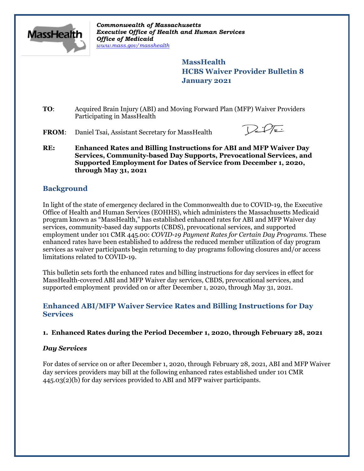

*Commonwealth of Massachusetts Executive Office of Health and Human Services Office of Medicaid [www.mass.gov/masshealth](http://www.mass.gov/masshealth)*

> **MassHealth HCBS Waiver Provider Bulletin 8 January 2021**

**TO**: Acquired Brain Injury (ABI) and Moving Forward Plan (MFP) Waiver Providers Participating in MassHealth

**FROM**: Daniel Tsai, Assistant Secretary for MassHealth



**RE: Enhanced Rates and Billing Instructions for ABI and MFP Waiver Day Services, Community-based Day Supports, Prevocational Services, and Supported Employment for Dates of Service from December 1, 2020, through May 31, 2021**

# **Background**

In light of the state of emergency declared in the Commonwealth due to COVID-19, the Executive Office of Health and Human Services (EOHHS), which administers the Massachusetts Medicaid program known as "MassHealth," has established enhanced rates for ABI and MFP Waiver day services, community-based day supports (CBDS), prevocational services, and supported employment under 101 CMR 445.00: *COVID-19 Payment Rates for Certain Day Programs*. These enhanced rates have been established to address the reduced member utilization of day program services as waiver participants begin returning to day programs following closures and/or access limitations related to COVID-19.

This bulletin sets forth the enhanced rates and billing instructions for day services in effect for MassHealth-covered ABI and MFP Waiver day services, CBDS, prevocational services, and supported employment provided on or after December 1, 2020, through May 31, 2021.

## **Enhanced ABI/MFP Waiver Service Rates and Billing Instructions for Day Services**

#### **1. Enhanced Rates during the Period December 1, 2020, through February 28, 2021**

#### *Day Services*

For dates of service on or after December 1, 2020, through February 28, 2021, ABI and MFP Waiver day services providers may bill at the following enhanced rates established under 101 CMR 445.03(2)(b) for day services provided to ABI and MFP waiver participants.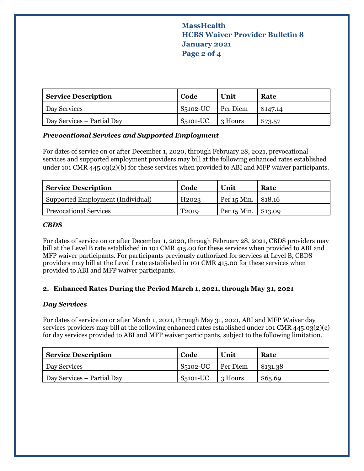# **MassHealth HCBS Waiver Provider Bulletin 8 January 2021 Page 2 of 4**

| <b>Service Description</b> | Code                  | Unit    | Rate     |
|----------------------------|-----------------------|---------|----------|
| Day Services               | $S5102$ -UC Per Diem  |         | \$147.14 |
| Day Services – Partial Day | S <sub>5</sub> 101-UC | 3 Hours | \$73.57  |

### *Prevocational Services and Supported Employment*

For dates of service on or after December 1, 2020, through February 28, 2021, prevocational services and supported employment providers may bill at the following enhanced rates established under 101 CMR 445.03(2)(b) for these services when provided to ABI and MFP waiver participants.

| <b>Service Description</b>        | Code              | Unit                    | Rate |
|-----------------------------------|-------------------|-------------------------|------|
| Supported Employment (Individual) | H <sub>2023</sub> | Per $15$ Min. \ \$18.16 |      |
| <b>Prevocational Services</b>     | T <sub>2019</sub> | Per $15$ Min. \ \$13.09 |      |

#### *CBDS*

For dates of service on or after December 1, 2020, through February 28, 2021, CBDS providers may bill at the Level B rate established in 101 CMR 415.00 for these services when provided to ABI and MFP waiver participants. For participants previously authorized for services at Level B, CBDS providers may bill at the Level I rate established in 101 CMR 415.00 for these services when provided to ABI and MFP waiver participants.

#### **2. Enhanced Rates During the Period March 1, 2021, through May 31, 2021**

#### *Day Services*

For dates of service on or after March 1, 2021, through May 31, 2021, ABI and MFP Waiver day services providers may bill at the following enhanced rates established under 101 CMR 445.03(2)(c) for day services provided to ABI and MFP waiver participants, subject to the following limitation.

| <b>Service Description</b> | Code       | Unit     | Rate     |
|----------------------------|------------|----------|----------|
| Day Services               | $S5102-UC$ | Per Diem | \$131.38 |
| Day Services – Partial Day | $S5101-UC$ | 3 Hours  | \$6,5.69 |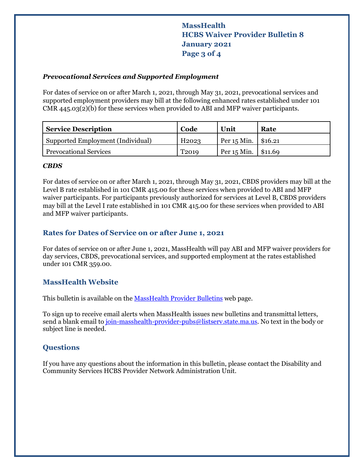# **MassHealth HCBS Waiver Provider Bulletin 8 January 2021 Page 3 of 4**

#### *Prevocational Services and Supported Employment*

For dates of service on or after March 1, 2021, through May 31, 2021, prevocational services and supported employment providers may bill at the following enhanced rates established under 101 CMR 445.03(2)(b) for these services when provided to ABI and MFP waiver participants.

| <b>Service Description</b>        | Code              | Unit                    | Rate |
|-----------------------------------|-------------------|-------------------------|------|
| Supported Employment (Individual) | H <sub>2023</sub> | Per $15$ Min.   \$16.21 |      |
| <b>Prevocational Services</b>     | T <sub>2019</sub> | Per $15$ Min. \ \$11.69 |      |

#### *CBDS*

For dates of service on or after March 1, 2021, through May 31, 2021, CBDS providers may bill at the Level B rate established in 101 CMR 415.00 for these services when provided to ABI and MFP waiver participants. For participants previously authorized for services at Level B, CBDS providers may bill at the Level I rate established in 101 CMR 415.00 for these services when provided to ABI and MFP waiver participants.

## **Rates for Dates of Service on or after June 1, 2021**

For dates of service on or after June 1, 2021, MassHealth will pay ABI and MFP waiver providers for day services, CBDS, prevocational services, and supported employment at the rates established under 101 CMR 359.00.

## **MassHealth Website**

This bulletin is available on the [MassHealth Provider Bulletins](http://www.mass.gov/masshealth-provider-bulletins) web page.

To sign up to receive email alerts when MassHealth issues new bulletins and transmittal letters, send a blank email to [join-masshealth-provider-pubs@listserv.state.ma.us.](mailto:join-masshealth-provider-pubs@listserv.state.ma.us) No text in the body or subject line is needed.

## **Questions**

If you have any questions about the information in this bulletin, please contact the Disability and Community Services HCBS Provider Network Administration Unit.